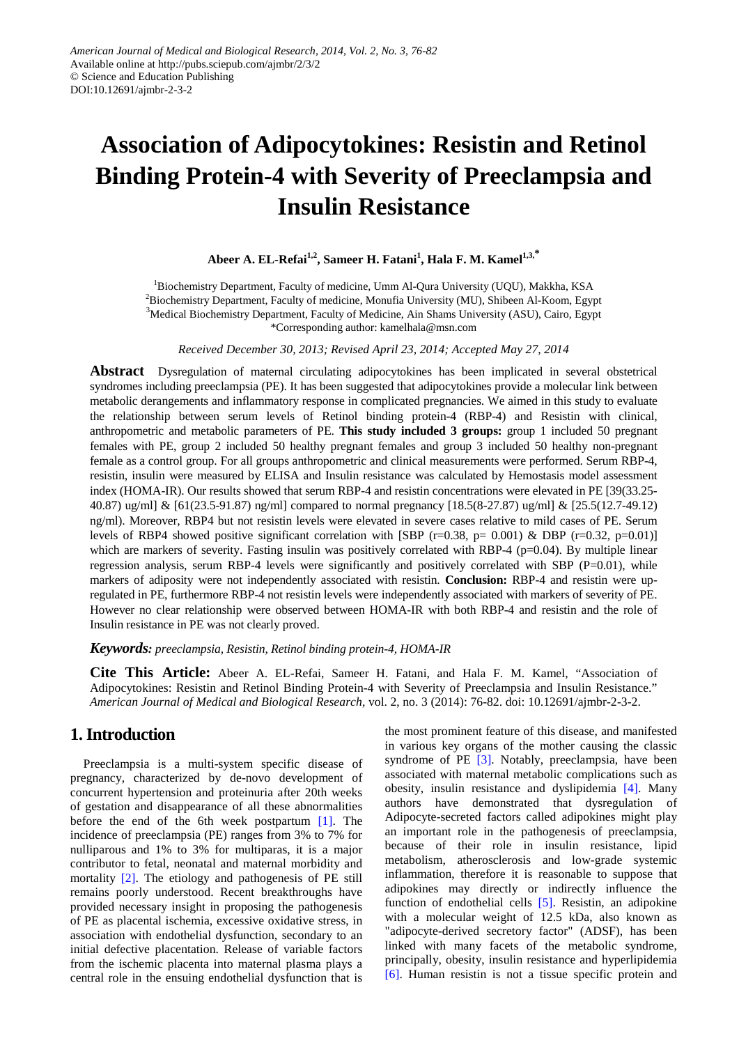# **Association of Adipocytokines: Resistin and Retinol Binding Protein-4 with Severity of Preeclampsia and Insulin Resistance**

 $\bf A$ beer  $\bf A$ . **EL-Refai<sup>1,2</sup>, Sameer H. Fatani<sup>1</sup>, Hala F. M. Kamel<sup>1,3,\*</sup>** 

<sup>1</sup>Biochemistry Department, Faculty of medicine, Umm Al-Qura University (UQU), Makkha, KSA <sup>2</sup> Biochemistry Department, Faculty of medicine, Monufia University (MU), Shibeen Al-Koom, Egypt  $\frac{3 \text{Median}}{2 \text{Median}}$ <sup>3</sup>Medical Biochemistry Department, Faculty of Medicine, Ain Shams University (ASU), Cairo, Egypt \*Corresponding author: kamelhala@msn.com

*Received December 30, 2013; Revised April 23, 2014; Accepted May 27, 2014*

**Abstract** Dysregulation of maternal circulating adipocytokines has been implicated in several obstetrical syndromes including preeclampsia (PE). It has been suggested that adipocytokines provide a molecular link between metabolic derangements and inflammatory response in complicated pregnancies. We aimed in this study to evaluate the relationship between serum levels of Retinol binding protein-4 (RBP-4) and Resistin with clinical, anthropometric and metabolic parameters of PE. **This study included 3 groups:** group 1 included 50 pregnant females with PE, group 2 included 50 healthy pregnant females and group 3 included 50 healthy non-pregnant female as a control group. For all groups anthropometric and clinical measurements were performed. Serum RBP-4, resistin, insulin were measured by ELISA and Insulin resistance was calculated by Hemostasis model assessment index (HOMA-IR). Our results showed that serum RBP-4 and resistin concentrations were elevated in PE [39(33.25- 40.87) ug/ml] & [61(23.5-91.87) ng/ml] compared to normal pregnancy [18.5(8-27.87) ug/ml] & [25.5(12.7-49.12) ng/ml). Moreover, RBP4 but not resistin levels were elevated in severe cases relative to mild cases of PE. Serum levels of RBP4 showed positive significant correlation with [SBP  $(r=0.38, p= 0.001)$  & DBP  $(r=0.32, p=0.01)$ ] which are markers of severity. Fasting insulin was positively correlated with RBP-4 ( $p=0.04$ ). By multiple linear regression analysis, serum RBP-4 levels were significantly and positively correlated with SBP (P=0.01), while markers of adiposity were not independently associated with resistin. **Conclusion:** RBP-4 and resistin were upregulated in PE, furthermore RBP-4 not resistin levels were independently associated with markers of severity of PE. However no clear relationship were observed between HOMA-IR with both RBP-4 and resistin and the role of Insulin resistance in PE was not clearly proved.

#### *Keywords: preeclampsia, Resistin, Retinol binding protein-4, HOMA-IR*

**Cite This Article:** Abeer A. EL-Refai, Sameer H. Fatani, and Hala F. M. Kamel, "Association of Adipocytokines: Resistin and Retinol Binding Protein-4 with Severity of Preeclampsia and Insulin Resistance." *American Journal of Medical and Biological Research*, vol. 2, no. 3 (2014): 76-82. doi: 10.12691/ajmbr-2-3-2.

## **1. Introduction**

Preeclampsia is a multi-system specific disease of pregnancy, characterized by de-novo development of concurrent hypertension and proteinuria after 20th weeks of gestation and disappearance of all these abnormalities before the end of the 6th week postpartum [\[1\].](#page-5-0) The incidence of preeclampsia (PE) ranges from 3% to 7% for nulliparous and 1% to 3% for multiparas, it is a major contributor to fetal, neonatal and maternal morbidity and mortality [\[2\].](#page-5-1) The etiology and pathogenesis of PE still remains poorly understood. Recent breakthroughs have provided necessary insight in proposing the pathogenesis of PE as placental ischemia, excessive oxidative stress, in association with endothelial dysfunction, secondary to an initial defective placentation. Release of variable factors from the ischemic placenta into maternal plasma plays a central role in the ensuing endothelial dysfunction that is the most prominent feature of this disease, and manifested in various key organs of the mother causing the classic syndrome of PE [\[3\].](#page-5-2) Notably, preeclampsia, have been associated with maternal metabolic complications such as obesity, insulin resistance and dyslipidemia [\[4\].](#page-5-3) Many authors have demonstrated that dysregulation of Adipocyte-secreted factors called adipokines might play an important role in the pathogenesis of preeclampsia, because of their role in insulin resistance, lipid metabolism, atherosclerosis and low-grade systemic inflammation, therefore it is reasonable to suppose that adipokines may directly or indirectly influence the function of endothelial cells [\[5\].](#page-5-4) Resistin, an adipokine with a molecular weight of 12.5 kDa, also known as "adipocyte-derived secretory factor" (ADSF), has been linked with many facets of the metabolic syndrome, principally, obesity, insulin resistance and hyperlipidemia [\[6\].](#page-5-5) Human resistin is not a tissue specific protein and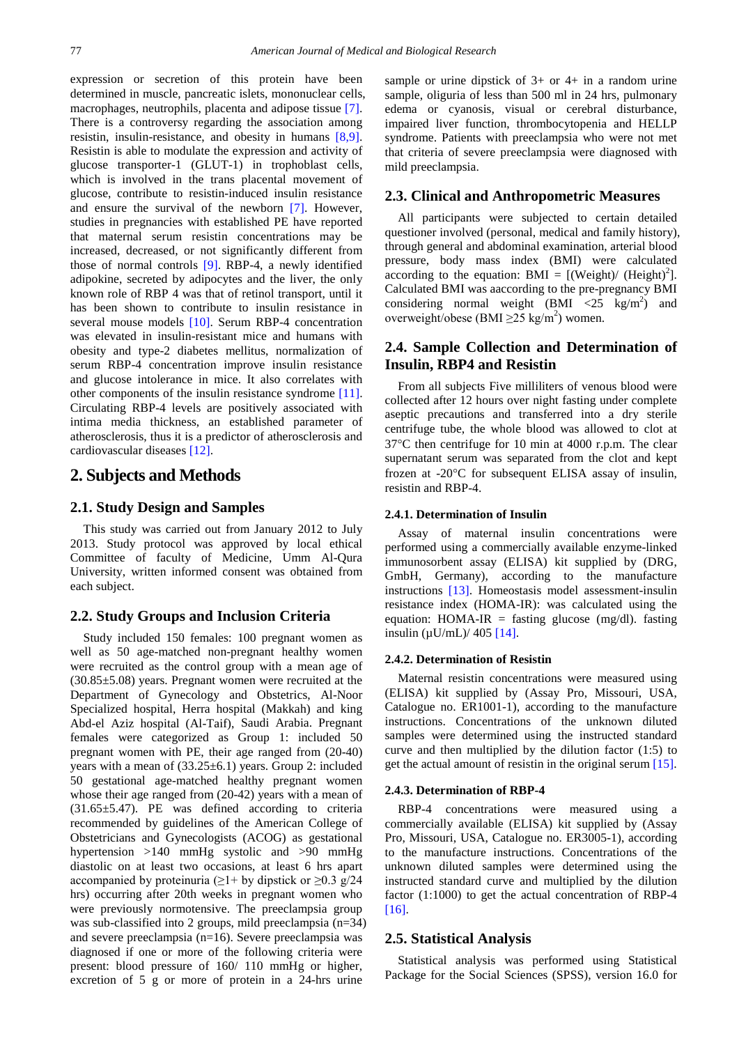expression or secretion of this protein have been determined in muscle, pancreatic islets, mononuclear cells, macrophages, neutrophils, placenta and adipose tissue [\[7\].](#page-5-6) There is a controversy regarding the association among resistin, insulin-resistance, and obesity in humans [\[8,9\].](#page-5-7) Resistin is able to modulate the expression and activity of glucose transporter-1 (GLUT-1) in trophoblast cells, which is involved in the trans placental movement of glucose, contribute to resistin-induced insulin resistance and ensure the survival of the newborn [\[7\].](#page-5-6) However, studies in pregnancies with established PE have reported that maternal serum resistin concentrations may be increased, decreased, or not significantly different from those of normal controls [\[9\].](#page-5-8) RBP-4, a newly identified adipokine, secreted by adipocytes and the liver, the only known role of RBP 4 was that of retinol transport, until it has been shown to contribute to insulin resistance in several mouse models [\[10\].](#page-6-0) Serum RBP-4 concentration was elevated in insulin-resistant mice and humans with obesity and type-2 diabetes mellitus, normalization of serum RBP-4 concentration improve insulin resistance and glucose intolerance in mice. It also correlates with other components of the insulin resistance syndrome [\[11\].](#page-6-1) Circulating RBP-4 levels are positively associated with intima media thickness, an established parameter of atherosclerosis, thus it is a predictor of atherosclerosis and cardiovascular diseases [\[12\].](#page-6-2) 

## **2. Subjects and Methods**

### **2.1. Study Design and Samples**

This study was carried out from January 2012 to July 2013. Study protocol was approved by local ethical Committee of faculty of Medicine, Umm Al-Qura University, written informed consent was obtained from each subject.

#### **2.2. Study Groups and Inclusion Criteria**

Study included 150 females: 100 pregnant women as well as 50 age-matched non-pregnant healthy women were recruited as the control group with a mean age of (30.85±5.08) years. Pregnant women were recruited at the Department of Gynecology and Obstetrics, Al-Noor Specialized hospital, Herra hospital (Makkah) and king Abd-el Aziz hospital (Al-Taif), Saudi Arabia. Pregnant females were categorized as Group 1: included 50 pregnant women with PE, their age ranged from (20-40) years with a mean of  $(33.25\pm6.1)$  years. Group 2: included 50 gestational age-matched healthy pregnant women whose their age ranged from (20-42) years with a mean of (31.65±5.47). PE was defined according to criteria recommended by guidelines of the American College of Obstetricians and Gynecologists (ACOG) as gestational hypertension >140 mmHg systolic and >90 mmHg diastolic on at least two occasions, at least 6 hrs apart accompanied by proteinuria ( $\geq 1$ + by dipstick or  $\geq 0.3$  g/24 hrs) occurring after 20th weeks in pregnant women who were previously normotensive. The preeclampsia group was sub-classified into 2 groups, mild preeclampsia (n=34) and severe preeclampsia (n=16). Severe preeclampsia was diagnosed if one or more of the following criteria were present: blood pressure of 160/ 110 mmHg or higher, excretion of 5 g or more of protein in a 24-hrs urine

sample or urine dipstick of 3+ or 4+ in a random urine sample, oliguria of less than 500 ml in 24 hrs, pulmonary edema or cyanosis, visual or cerebral disturbance, impaired liver function, thrombocytopenia and HELLP syndrome. Patients with preeclampsia who were not met that criteria of severe preeclampsia were diagnosed with mild preeclampsia.

## **2.3. Clinical and Anthropometric Measures**

All participants were subjected to certain detailed questioner involved (personal, medical and family history), through general and abdominal examination, arterial blood pressure, body mass index (BMI) were calculated according to the equation: BMI =  $[(Weight)/(Height)^2]$ . Calculated BMI was aaccording to the pre-pregnancy BMI considering normal weight  $(BMI \le 25 \text{ kg/m}^2)$  and overweight/obese (BMI  $\geq$ 25 kg/m<sup>2</sup>) women.

## **2.4. Sample Collection and Determination of Insulin, RBP4 and Resistin**

From all subjects Five milliliters of venous blood were collected after 12 hours over night fasting under complete aseptic precautions and transferred into a dry sterile centrifuge tube, the whole blood was allowed to clot at 37°C then centrifuge for 10 min at 4000 r.p.m. The clear supernatant serum was separated from the clot and kept frozen at -20°C for subsequent ELISA assay of insulin, resistin and RBP-4.

#### **2.4.1. Determination of Insulin**

Assay of maternal insulin concentrations were performed using a commercially available enzyme-linked immunosorbent assay (ELISA) kit supplied by (DRG, GmbH, Germany), according to the manufacture instructions [\[13\].](#page-6-3) Homeostasis model assessment-insulin resistance index (HOMA-IR): was calculated using the equation:  $HOMA-IR =$  fasting glucose (mg/dl). fasting insulin  $(uU/mL)/$  405 [\[14\].](#page-6-4)

#### **2.4.2. Determination of Resistin**

Maternal resistin concentrations were measured using (ELISA) kit supplied by (Assay Pro, Missouri, USA, Catalogue no. ER1001-1), according to the manufacture instructions. Concentrations of the unknown diluted samples were determined using the instructed standard curve and then multiplied by the dilution factor (1:5) to get the actual amount of resistin in the original serum [\[15\].](#page-6-5)

#### **2.4.3. Determination of RBP-4**

RBP-4 concentrations were measured using a commercially available (ELISA) kit supplied by (Assay Pro, Missouri, USA, Catalogue no. ER3005-1), according to the manufacture instructions. Concentrations of the unknown diluted samples were determined using the instructed standard curve and multiplied by the dilution factor (1:1000) to get the actual concentration of RBP-4 [\[16\].](#page-6-6)

#### **2.5. Statistical Analysis**

Statistical analysis was performed using Statistical Package for the Social Sciences (SPSS), version 16.0 for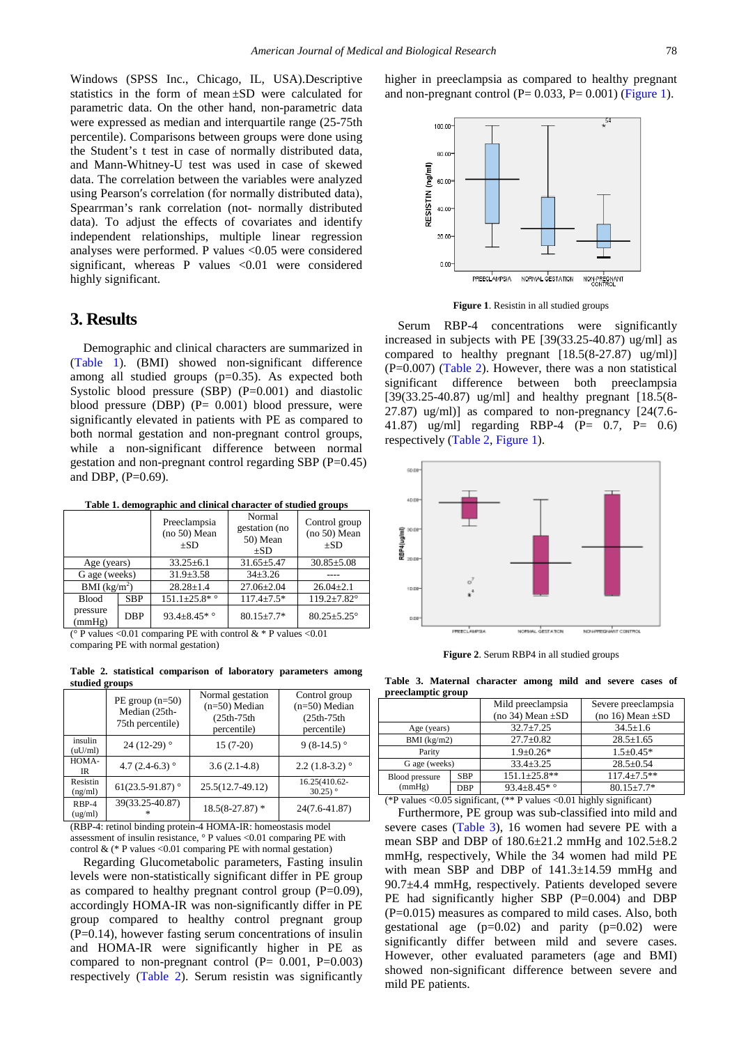Windows (SPSS Inc., Chicago, IL, USA).Descriptive statistics in the form of mean ±SD were calculated for parametric data. On the other hand, non-parametric data were expressed as median and interquartile range (25-75th percentile). Comparisons between groups were done using the Student's t test in case of normally distributed data, and Mann-Whitney-U test was used in case of skewed data. The correlation between the variables were analyzed using Pearson′s correlation (for normally distributed data), Spearrman's rank correlation (not- normally distributed data). To adjust the effects of covariates and identify independent relationships, multiple linear regression analyses were performed. P values <0.05 were considered significant, whereas P values <0.01 were considered highly significant.

## **3. Results**

Demographic and clinical characters are summarized in [\(Table 1\)](#page-2-0). (BMI) showed non-significant difference among all studied groups (p=0.35). As expected both Systolic blood pressure (SBP) (P=0.001) and diastolic blood pressure (DBP) (P= 0.001) blood pressure, were significantly elevated in patients with PE as compared to both normal gestation and non-pregnant control groups, while a non-significant difference between normal gestation and non-pregnant control regarding SBP (P=0.45) and DBP,  $(P=0.69)$ .

**Table 1. demographic and clinical character of studied groups**

<span id="page-2-0"></span>

|                    |            | Preeclampsia<br>(no 50) Mean<br>$+SD$ | Normal<br>gestation (no<br>50) Mean<br>$+SD$ | Control group<br>(no 50) Mean<br>$+SD$ |
|--------------------|------------|---------------------------------------|----------------------------------------------|----------------------------------------|
| Age (years)        |            | $33.25 \pm 6.1$                       | $31.65 \pm 5.47$                             | $30.85 \pm 5.08$                       |
| G age (weeks)      |            | $31.9 \pm 3.58$                       | $34\pm3.26$                                  |                                        |
| BMI $(kg/m^2)$     |            | $28.28 \pm 1.4$                       | $27.06 \pm 2.04$                             | $26.04 \pm 2.1$                        |
| <b>Blood</b>       | <b>SBP</b> | $151.1 \pm 25.8$ * °                  | $117.4 + 7.5*$                               | $119.2 \pm 7.82^{\circ}$               |
| pressure<br>(mmHg) | <b>DBP</b> | 93.4 $\pm$ 8.45 $*$ °                 | $80.15 \pm 7.7*$                             | $80.25 \pm 5.25$ °                     |

( $^{\circ}$  P values <0.01 comparing PE with control &  $*$  P values <0.01 comparing PE with normal gestation)

**Table 2. statistical comparison of laboratory parameters among studied groups**

<span id="page-2-1"></span>

|                     | $PE$ group $(n=50)$<br>Median (25th-<br>75th percentile) | Normal gestation<br>$(n=50)$ Median<br>$(25th-75th$<br>percentile) | Control group<br>$(n=50)$ Median<br>$(25th-75th$<br>percentile) |
|---------------------|----------------------------------------------------------|--------------------------------------------------------------------|-----------------------------------------------------------------|
| insulin<br>(uU/ml)  | 24 (12-29) $^{\circ}$                                    | $15(7-20)$                                                         | 9 $(8-14.5)$ °                                                  |
| HOMA-<br>IR         | 4.7 $(2.4-6.3)$                                          | $3.6(2.1-4.8)$                                                     | $2.2(1.8-3.2)$ <sup>o</sup>                                     |
| Resistin<br>(ng/ml) | 61(23.5-91.87) $^{\circ}$                                | 25.5(12.7-49.12)                                                   | 16.25(410.62-<br>$30.25$ <sup>o</sup>                           |
| RBP-4<br>(ug/ml)    | 39(33.25-40.87)<br>sk.                                   | $18.5(8-27.87)$ *                                                  | 24(7.6-41.87)                                                   |

(RBP-4: retinol binding protein-4 HOMA-IR: homeostasis model assessment of insulin resistance, ° P values <0.01 comparing PE with control  $\&$  (\* P values <0.01 comparing PE with normal gestation)

Regarding Glucometabolic parameters, Fasting insulin levels were non-statistically significant differ in PE group as compared to healthy pregnant control group  $(P=0.09)$ , accordingly HOMA-IR was non-significantly differ in PE group compared to healthy control pregnant group  $(P=0.14)$ , however fasting serum concentrations of insulin and HOMA-IR were significantly higher in PE as compared to non-pregnant control  $(P= 0.001, P=0.003)$ respectively [\(Table 2\)](#page-2-1). Serum resistin was significantly <span id="page-2-2"></span>higher in preeclampsia as compared to healthy pregnant and non-pregnant control ( $P= 0.033$ ,  $P= 0.001$ ) [\(Figure 1\)](#page-2-2).



**Figure 1**. Resistin in all studied groups

Serum RBP-4 concentrations were significantly increased in subjects with PE [39(33.25-40.87) ug/ml] as compared to healthy pregnant [18.5(8-27.87) ug/ml)]  $(P=0.007)$  [\(Table 2\)](#page-2-1). However, there was a non statistical significant difference between both preeclampsia [39(33.25-40.87) ug/ml] and healthy pregnant [18.5(8- 27.87) ug/ml)] as compared to non-pregnancy [24(7.6- 41.87) ug/ml] regarding RBP-4 (P= 0.7, P= 0.6) respectively [\(Table 2,](#page-2-1) [Figure 1\)](#page-2-2).



**Figure 2**. Serum RBP4 in all studied groups

**Table 3. Maternal character among mild and severe cases of preeclamptic group** 

<span id="page-2-3"></span>

| . .                             |            |                       |                       |
|---------------------------------|------------|-----------------------|-----------------------|
|                                 |            | Mild preeclampsia     | Severe preeclampsia   |
|                                 |            | (no 34) Mean $\pm SD$ | (no 16) Mean $\pm SD$ |
| Age (years)                     |            | $32.7 \pm 7.25$       | $34.5 + 1.6$          |
| BMI $(kg/m2)$                   |            | $27.7 \pm 0.82$       | $28.5 + 1.65$         |
| Parity                          |            | $1.9 \pm 0.26*$       | $1.5 \pm 0.45*$       |
| G age (weeks)                   |            | $33.4 + 3.25$         | $28.5 \pm 0.54$       |
| <b>Blood pressure</b><br>(mmHg) | <b>SBP</b> | $151.1 \pm 25.8$ **   | $117.4 + 7.5$ **      |
|                                 | <b>DBP</b> | 93.4 $\pm$ 8.45 $*$ ° | $80.15 + 7.7*$        |

(\*P values <0.05 significant, (\*\* P values <0.01 highly significant)

Furthermore, PE group was sub-classified into mild and severe cases [\(Table 3\)](#page-2-3), 16 women had severe PE with a mean SBP and DBP of 180.6±21.2 mmHg and 102.5±8.2 mmHg, respectively, While the 34 women had mild PE with mean SBP and DBP of  $141.3\pm14.59$  mmHg and 90.7±4.4 mmHg, respectively. Patients developed severe PE had significantly higher SBP (P=0.004) and DBP (P=0.015) measures as compared to mild cases. Also, both gestational age  $(p=0.02)$  and parity  $(p=0.02)$  were significantly differ between mild and severe cases. However, other evaluated parameters (age and BMI) showed non-significant difference between severe and mild PE patients.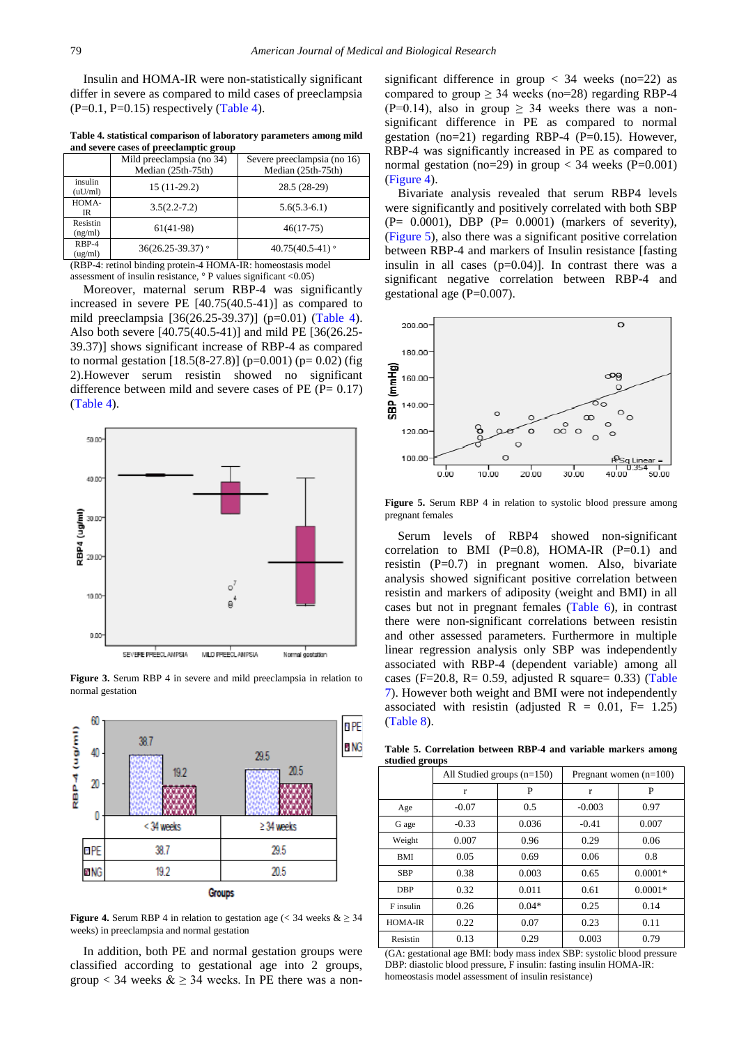Insulin and HOMA-IR were non-statistically significant differ in severe as compared to mild cases of preeclampsia  $(P=0.1, P=0.15)$  respectively [\(Table 4\)](#page-3-0).

**Table 4. statistical comparison of laboratory parameters among mild and severe cases of preeclamptic group** 

<span id="page-3-0"></span>

|                                                                                                                                  | Mild preeclampsia (no 34)<br>Median (25th-75th) | Severe preeclampsia (no 16)<br>Median (25th-75th) |  |  |
|----------------------------------------------------------------------------------------------------------------------------------|-------------------------------------------------|---------------------------------------------------|--|--|
| insulin<br>(uU/ml)                                                                                                               | $15(11-29.2)$                                   | 28.5 (28-29)                                      |  |  |
| HOMA-<br>IR                                                                                                                      | $3.5(2.2 - 7.2)$                                | $5.6(5.3-6.1)$                                    |  |  |
| Resistin<br>(ng/ml)                                                                                                              | $61(41-98)$                                     | $46(17-75)$                                       |  |  |
| RBP-4<br>(ug/ml)                                                                                                                 | $36(26.25 - 39.37)$ °                           | 40.75 $(40.5-41)$                                 |  |  |
| (DDD $\Lambda$ , and all $\Lambda$ ) and $\Lambda$ are contributed in $\Lambda$ IIOMA at ID, $\Lambda$ and a set of a set of all |                                                 |                                                   |  |  |

(RBP-4: retinol binding protein-4 HOMA-IR: homeostasis model assessment of insulin resistance, ° P values significant <0.05)

Moreover, maternal serum RBP-4 was significantly increased in severe PE [40.75(40.5-41)] as compared to mild preeclampsia [36(26.25-39.37)] (p=0.01) [\(Table 4\)](#page-3-0). Also both severe [40.75(40.5-41)] and mild PE [36(26.25- 39.37)] shows significant increase of RBP-4 as compared to normal gestation  $[18.5(8-27.8)]$  (p=0.001) (p=0.02) (fig 2).However serum resistin showed no significant difference between mild and severe cases of  $PE (P = 0.17)$ [\(Table 4\)](#page-3-0).



**Figure 3.** Serum RBP 4 in severe and mild preeclampsia in relation to normal gestation

<span id="page-3-1"></span>

**Figure 4.** Serum RBP 4 in relation to gestation age ( $\lt 34$  weeks  $\& \geq 34$ ) weeks) in preeclampsia and normal gestation

In addition, both PE and normal gestation groups were classified according to gestational age into 2 groups, group < 34 weeks  $\&$   $\geq$  34 weeks. In PE there was a nonsignificant difference in group  $\langle 34 \rangle$  weeks (no=22) as compared to group  $\geq$  34 weeks (no=28) regarding RBP-4 (P=0.14), also in group  $\geq$  34 weeks there was a nonsignificant difference in PE as compared to normal gestation (no=21) regarding RBP-4 (P=0.15). However, RBP-4 was significantly increased in PE as compared to normal gestation (no=29) in group  $<$  34 weeks (P=0.001) [\(Figure 4\)](#page-3-1).

Bivariate analysis revealed that serum RBP4 levels were significantly and positively correlated with both SBP  $(P= 0.0001)$ , DBP  $(P= 0.0001)$  (markers of severity), [\(Figure 5\)](#page-3-2), also there was a significant positive correlation between RBP-4 and markers of Insulin resistance [fasting insulin in all cases  $(p=0.04)$ ]. In contrast there was a significant negative correlation between RBP-4 and gestational age  $(P=0.007)$ .

<span id="page-3-2"></span>

**Figure 5.** Serum RBP 4 in relation to systolic blood pressure among pregnant females

Serum levels of RBP4 showed non-significant correlation to BMI (P=0.8), HOMA-IR (P=0.1) and resistin (P=0.7) in pregnant women. Also, bivariate analysis showed significant positive correlation between resistin and markers of adiposity (weight and BMI) in all cases but not in pregnant females [\(Table 6\)](#page-4-0), in contrast there were non-significant correlations between resistin and other assessed parameters. Furthermore in multiple linear regression analysis only SBP was independently associated with RBP-4 (dependent variable) among all cases (F=20.8, R= 0.59, adjusted R square= 0.33) (Table [7\)](#page-4-1). However both weight and BMI were not independently associated with resistin (adjusted R = 0.01, F= 1.25) [\(Table 8\)](#page-4-2).

**Table 5. Correlation between RBP-4 and variable markers among studied groups**

|            | All Studied groups $(n=150)$ |         | Pregnant women $(n=100)$ |           |
|------------|------------------------------|---------|--------------------------|-----------|
|            | r                            | P       | r                        | P         |
| Age        | $-0.07$                      | 0.5     | $-0.003$                 | 0.97      |
| G age      | $-0.33$                      | 0.036   | $-0.41$                  | 0.007     |
| Weight     | 0.007                        | 0.96    | 0.29                     | 0.06      |
| <b>BMI</b> | 0.05                         | 0.69    | 0.06                     | 0.8       |
| <b>SBP</b> | 0.38                         | 0.003   | 0.65                     | $0.0001*$ |
| <b>DBP</b> | 0.32                         | 0.011   | 0.61                     | $0.0001*$ |
| F insulin  | 0.26                         | $0.04*$ | 0.25                     | 0.14      |
| HOMA-IR    | 0.22                         | 0.07    | 0.23                     | 0.11      |
| Resistin   | 0.13                         | 0.29    | 0.003                    | 0.79      |

(GA: gestational age BMI: body mass index SBP: systolic blood pressure DBP: diastolic blood pressure, F insulin: fasting insulin HOMA-IR: homeostasis model assessment of insulin resistance)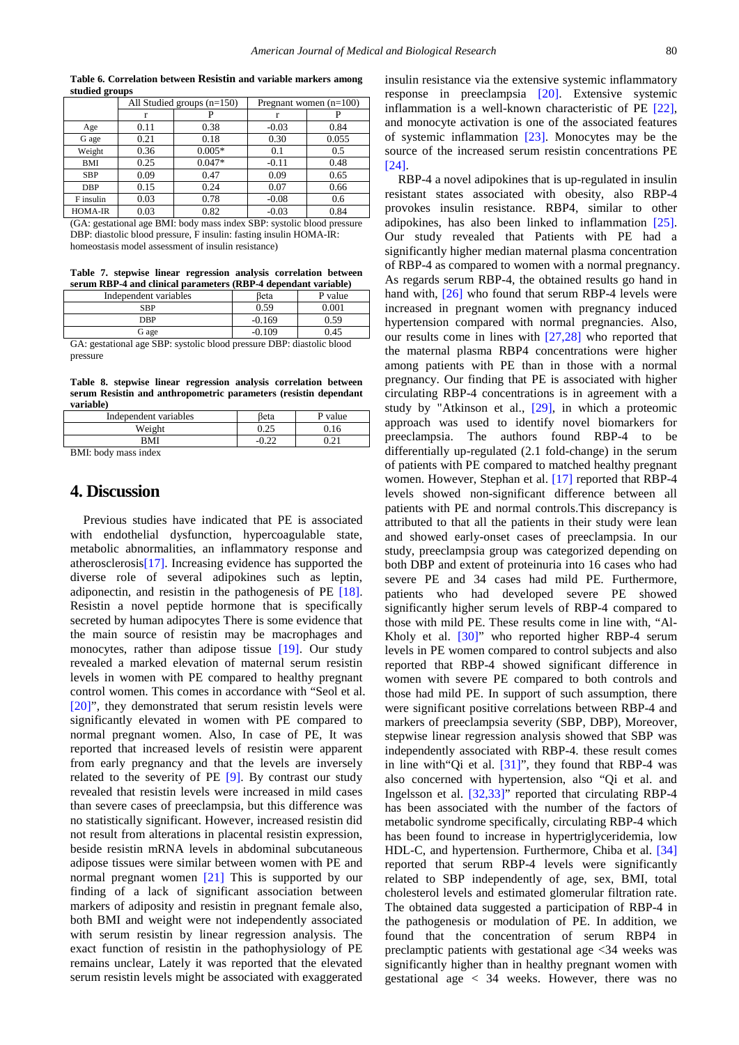<span id="page-4-0"></span>

| staurtu groups |                              |          |                          |       |
|----------------|------------------------------|----------|--------------------------|-------|
|                | All Studied groups $(n=150)$ |          | Pregnant women $(n=100)$ |       |
|                | r                            | Р        |                          |       |
| Age            | 0.11                         | 0.38     | $-0.03$                  | 0.84  |
| G age          | 0.21                         | 0.18     | 0.30                     | 0.055 |
| Weight         | 0.36                         | $0.005*$ | 0.1                      | 0.5   |
| <b>BMI</b>     | 0.25                         | $0.047*$ | $-0.11$                  | 0.48  |
| <b>SBP</b>     | 0.09                         | 0.47     | 0.09                     | 0.65  |
| <b>DBP</b>     | 0.15                         | 0.24     | 0.07                     | 0.66  |
| F insulin      | 0.03                         | 0.78     | $-0.08$                  | 0.6   |
| <b>HOMA-IR</b> | 0.03                         | 0.82     | $-0.03$                  | 0.84  |

**Table 6. Correlation between Resistin and variable markers among studied groups**

(GA: gestational age BMI: body mass index SBP: systolic blood pressure DBP: diastolic blood pressure, F insulin: fasting insulin HOMA-IR: homeostasis model assessment of insulin resistance)

**Table 7. stepwise linear regression analysis correlation between serum RBP-4 and clinical parameters (RBP-4 dependant variable)**

<span id="page-4-1"></span>

| Independent variables                                                 | Beta     | P value |
|-----------------------------------------------------------------------|----------|---------|
| <b>SBP</b>                                                            | 0.59     | 0.001   |
| <b>DBP</b>                                                            | $-0.169$ | 0.59    |
| G age                                                                 | $-0.109$ | 0.45    |
| GA: gestational age SBP: systolic blood pressure DBP: diastolic blood |          |         |
| pressure                                                              |          |         |

**Table 8. stepwise linear regression analysis correlation between serum Resistin and anthropometric parameters (resistin dependant** 

<span id="page-4-2"></span>

| Independent variables | <b>B</b> eta | P value |
|-----------------------|--------------|---------|
| Weight                | 0.25         | 16      |
| RMI                   |              | ົາ 1    |
| <b>PER 27 1</b>       |              |         |

BMI: body mass index

**variable)**

## **4. Discussion**

Previous studies have indicated that PE is associated with endothelial dysfunction, hypercoagulable state, metabolic abnormalities, an inflammatory response and atherosclerosi[s\[17\].](#page-6-7) Increasing evidence has supported the diverse role of several adipokines such as leptin, adiponectin, and resistin in the pathogenesis of PE [\[18\].](#page-6-8) Resistin a novel peptide hormone that is specifically secreted by human adipocytes There is some evidence that the main source of resistin may be macrophages and monocytes, rather than adipose tissue [\[19\].](#page-6-9) Our study revealed a marked elevation of maternal serum resistin levels in women with PE compared to healthy pregnant control women. This comes in accordance with "Seol et al. [\[20\]"](#page-6-10), they demonstrated that serum resistin levels were significantly elevated in women with PE compared to normal pregnant women. Also, In case of PE, It was reported that increased levels of resistin were apparent from early pregnancy and that the levels are inversely related to the severity of PE [\[9\].](#page-5-8) By contrast our study revealed that resistin levels were increased in mild cases than severe cases of preeclampsia, but this difference was no statistically significant. However, increased resistin did not result from alterations in placental resistin expression, beside resistin mRNA levels in abdominal subcutaneous adipose tissues were similar between women with PE and normal pregnant women [\[21\]](#page-6-11) This is supported by our finding of a lack of significant association between markers of adiposity and resistin in pregnant female also, both BMI and weight were not independently associated with serum resistin by linear regression analysis. The exact function of resistin in the pathophysiology of PE remains unclear, Lately it was reported that the elevated serum resistin levels might be associated with exaggerated

insulin resistance via the extensive systemic inflammatory response in preeclampsia [\[20\].](#page-6-10) Extensive systemic inflammation is a well-known characteristic of PE [\[22\],](#page-6-12) and monocyte activation is one of the associated features of systemic inflammation [\[23\].](#page-6-13) Monocytes may be the source of the increased serum resistin concentrations PE [\[24\].](#page-6-14)

RBP-4 a novel adipokines that is up-regulated in insulin resistant states associated with obesity, also RBP-4 provokes insulin resistance. RBP4, similar to other adipokines, has also been linked to inflammation [\[25\].](#page-6-15) Our study revealed that Patients with PE had a significantly higher median maternal plasma concentration of RBP-4 as compared to women with a normal pregnancy. As regards serum RBP-4, the obtained results go hand in hand with, [\[26\]](#page-6-16) who found that serum RBP-4 levels were increased in pregnant women with pregnancy induced hypertension compared with normal pregnancies. Also, our results come in lines with [\[27,28\]](#page-6-17) who reported that the maternal plasma RBP4 concentrations were higher among patients with PE than in those with a normal pregnancy. Our finding that PE is associated with higher circulating RBP-4 concentrations is in agreement with a study by "Atkinson et al., [\[29\],](#page-6-18) in which a proteomic approach was used to identify novel biomarkers for preeclampsia. The authors found RBP-4 to be differentially up-regulated (2.1 fold-change) in the serum of patients with PE compared to matched healthy pregnant women. However, Stephan et al. [\[17\]](#page-6-7) reported that RBP-4 levels showed non-significant difference between all patients with PE and normal controls.This discrepancy is attributed to that all the patients in their study were lean and showed early-onset cases of preeclampsia. In our study, preeclampsia group was categorized depending on both DBP and extent of proteinuria into 16 cases who had severe PE and 34 cases had mild PE. Furthermore, patients who had developed severe PE showed significantly higher serum levels of RBP-4 compared to those with mild PE. These results come in line with, "Al-Kholy et al. [\[30\]"](#page-6-19) who reported higher RBP-4 serum levels in PE women compared to control subjects and also reported that RBP-4 showed significant difference in women with severe PE compared to both controls and those had mild PE. In support of such assumption, there were significant positive correlations between RBP-4 and markers of preeclampsia severity (SBP, DBP), Moreover, stepwise linear regression analysis showed that SBP was independently associated with RBP-4. these result comes in line with "Qi et al.  $[31]$ ", they found that RBP-4 was also concerned with hypertension, also "Qi et al. and Ingelsson et al. [\[32,33\]"](#page-6-21) reported that circulating RBP-4 has been associated with the number of the factors of metabolic syndrome specifically, circulating RBP-4 which has been found to increase in hypertriglyceridemia, low HDL-C, and hypertension. Furthermore, Chiba et al. [\[34\]](#page-6-22) reported that serum RBP-4 levels were significantly related to SBP independently of age, sex, BMI, total cholesterol levels and estimated glomerular filtration rate. The obtained data suggested a participation of RBP-4 in the pathogenesis or modulation of PE. In addition, we found that the concentration of serum RBP4 in preclamptic patients with gestational age <34 weeks was significantly higher than in healthy pregnant women with gestational age < 34 weeks. However, there was no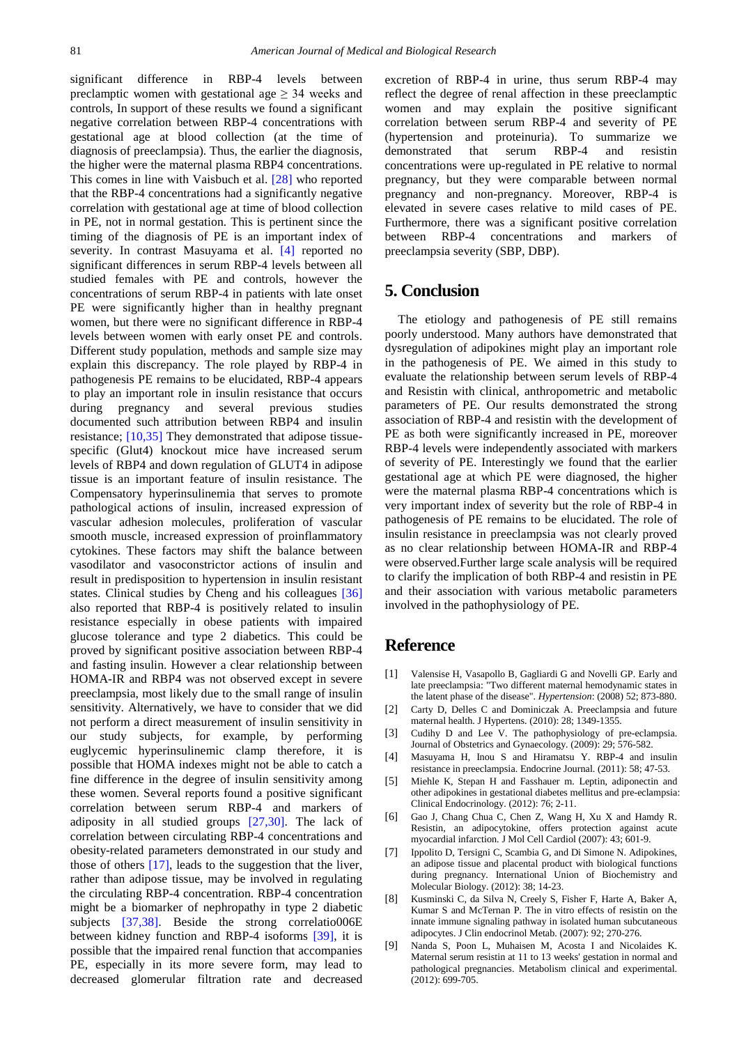significant difference in RBP-4 levels between preclamptic women with gestational age  $\geq$  34 weeks and controls, In support of these results we found a significant negative correlation between RBP-4 concentrations with gestational age at blood collection (at the time of diagnosis of preeclampsia). Thus, the earlier the diagnosis, the higher were the maternal plasma RBP4 concentrations. This comes in line with Vaisbuch et al. [\[28\]](#page-6-23) who reported that the RBP-4 concentrations had a significantly negative correlation with gestational age at time of blood collection in PE, not in normal gestation. This is pertinent since the timing of the diagnosis of PE is an important index of severity. In contrast Masuyama et al. [\[4\]](#page-5-3) reported no significant differences in serum RBP-4 levels between all studied females with PE and controls, however the concentrations of serum RBP-4 in patients with late onset PE were significantly higher than in healthy pregnant women, but there were no significant difference in RBP-4 levels between women with early onset PE and controls. Different study population, methods and sample size may explain this discrepancy. The role played by RBP-4 in pathogenesis PE remains to be elucidated, RBP-4 appears to play an important role in insulin resistance that occurs during pregnancy and several previous studies documented such attribution between RBP4 and insulin resistance; [\[10,35\]](#page-6-0) They demonstrated that adipose tissuespecific (Glut4) knockout mice have increased serum levels of RBP4 and down regulation of GLUT4 in adipose tissue is an important feature of insulin resistance. The Compensatory hyperinsulinemia that serves to promote pathological actions of insulin, increased expression of vascular adhesion molecules, proliferation of vascular smooth muscle, increased expression of proinflammatory cytokines. These factors may shift the balance between vasodilator and vasoconstrictor actions of insulin and result in predisposition to hypertension in insulin resistant states. Clinical studies by Cheng and his colleagues [\[36\]](#page-6-24) also reported that RBP-4 is positively related to insulin resistance especially in obese patients with impaired glucose tolerance and type 2 diabetics. This could be proved by significant positive association between RBP-4 and fasting insulin. However a clear relationship between HOMA-IR and RBP4 was not observed except in severe preeclampsia, most likely due to the small range of insulin sensitivity. Alternatively, we have to consider that we did not perform a direct measurement of insulin sensitivity in our study subjects, for example, by performing euglycemic hyperinsulinemic clamp therefore, it is possible that HOMA indexes might not be able to catch a fine difference in the degree of insulin sensitivity among these women. Several reports found a positive significant correlation between serum RBP-4 and markers of adiposity in all studied groups [\[27,30\].](#page-6-17) The lack of correlation between circulating RBP-4 concentrations and obesity-related parameters demonstrated in our study and those of others [\[17\],](#page-6-7) leads to the suggestion that the liver, rather than adipose tissue, may be involved in regulating the circulating RBP-4 concentration. RBP-4 concentration might be a biomarker of nephropathy in type 2 diabetic subjects [\[37,38\].](#page-6-25) Beside the strong correlatio006E between kidney function and RBP-4 isoforms [\[39\],](#page-6-26) it is possible that the impaired renal function that accompanies PE, especially in its more severe form, may lead to decreased glomerular filtration rate and decreased

excretion of RBP-4 in urine, thus serum RBP-4 may reflect the degree of renal affection in these preeclamptic women and may explain the positive significant correlation between serum RBP-4 and severity of PE (hypertension and proteinuria). To summarize we demonstrated that serum RBP-4 and resistin concentrations were up-regulated in PE relative to normal pregnancy, but they were comparable between normal pregnancy and non-pregnancy. Moreover, RBP-4 is elevated in severe cases relative to mild cases of PE. Furthermore, there was a significant positive correlation between RBP-4 concentrations and markers of preeclampsia severity (SBP, DBP).

## **5. Conclusion**

The etiology and pathogenesis of PE still remains poorly understood. Many authors have demonstrated that dysregulation of adipokines might play an important role in the pathogenesis of PE. We aimed in this study to evaluate the relationship between serum levels of RBP-4 and Resistin with clinical, anthropometric and metabolic parameters of PE. Our results demonstrated the strong association of RBP-4 and resistin with the development of PE as both were significantly increased in PE, moreover RBP-4 levels were independently associated with markers of severity of PE. Interestingly we found that the earlier gestational age at which PE were diagnosed, the higher were the maternal plasma RBP-4 concentrations which is very important index of severity but the role of RBP-4 in pathogenesis of PE remains to be elucidated. The role of insulin resistance in preeclampsia was not clearly proved as no clear relationship between HOMA-IR and RBP-4 were observed.Further large scale analysis will be required to clarify the implication of both RBP-4 and resistin in PE and their association with various metabolic parameters involved in the pathophysiology of PE.

# **Reference**

- <span id="page-5-0"></span>[1] Valensise H, Vasapollo B, Gagliardi G and Novelli GP. Early and late preeclampsia: "Two different maternal hemodynamic states in the latent phase of the disease". *Hypertension*: (2008) 52; 873-880.
- <span id="page-5-1"></span>[2] Carty D, Delles C and Dominiczak A. Preeclampsia and future maternal health. J Hypertens. (2010): 28; 1349-1355.
- <span id="page-5-2"></span>[3] Cudihy D and Lee V. The pathophysiology of pre-eclampsia. Journal of Obstetrics and Gynaecology. (2009): 29; 576-582.
- <span id="page-5-3"></span>[4] Masuyama H, Inou S and Hiramatsu Y. RBP-4 and insulin resistance in preeclampsia. Endocrine Journal. (2011): 58; 47-53.
- <span id="page-5-4"></span>[5] Miehle K, Stepan H and Fasshauer m. Leptin, adiponectin and other adipokines in gestational diabetes mellitus and pre-eclampsia: Clinical Endocrinology. (2012): 76; 2-11.
- <span id="page-5-5"></span>[6] Gao J, Chang Chua C, Chen Z, Wang H, Xu X and Hamdy R. Resistin, an adipocytokine, offers protection against acute myocardial infarction. J Mol Cell Cardiol (2007): 43; 601-9.
- <span id="page-5-6"></span>[7] Ippolito D, Tersigni C, Scambia G, and Di Simone N. Adipokines, an adipose tissue and placental product with biological functions during pregnancy. International Union of Biochemistry and Molecular Biology. (2012): 38; 14-23.
- <span id="page-5-7"></span>[8] Kusminski C, da Silva N, Creely S, Fisher F, Harte A, Baker A, Kumar S and McTernan P. The in vitro effects of resistin on the innate immune signaling pathway in isolated human subcutaneous adipocytes. J Clin endocrinol Metab. (2007): 92; 270-276.
- <span id="page-5-8"></span>[9] Nanda S, Poon L, Muhaisen M, Acosta I and Nicolaides K. Maternal serum resistin at 11 to 13 weeks' gestation in normal and pathological pregnancies. Metabolism clinical and experimental. (2012): 699-705.